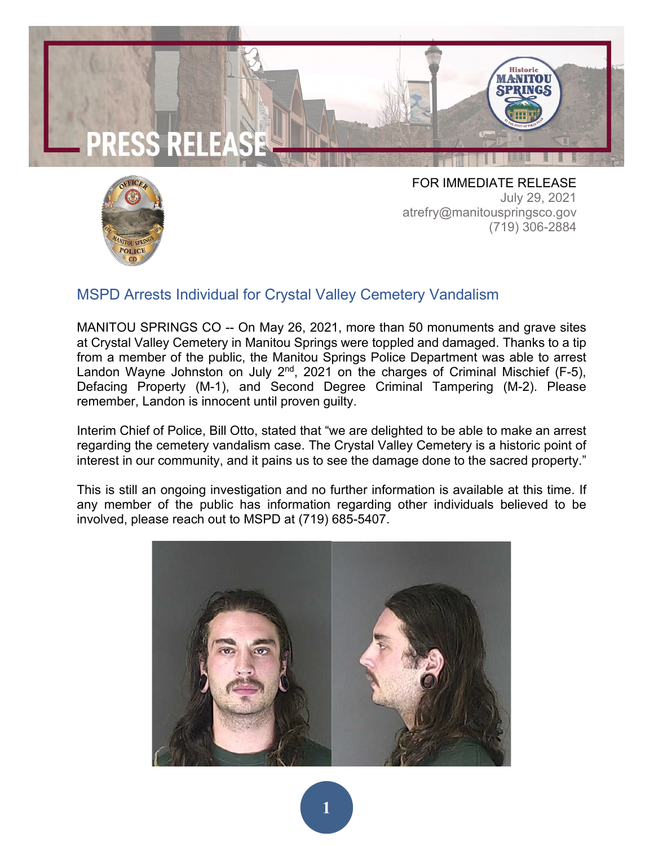



FOR IMMEDIATE RELEASE July 29, 2021 atrefry@manitouspringsco.gov (719) 306-2884

## MSPD Arrests Individual for Crystal Valley Cemetery Vandalism

MANITOU SPRINGS CO -- On May 26, 2021, more than 50 monuments and grave sites at Crystal Valley Cemetery in Manitou Springs were toppled and damaged. Thanks to a tip from a member of the public, the Manitou Springs Police Department was able to arrest Landon Wayne Johnston on July  $2^{nd}$ , 2021 on the charges of Criminal Mischief (F-5), Defacing Property (M-1), and Second Degree Criminal Tampering (M-2). Please remember, Landon is innocent until proven guilty.

Interim Chief of Police, Bill Otto, stated that "we are delighted to be able to make an arrest regarding the cemetery vandalism case. The Crystal Valley Cemetery is a historic point of interest in our community, and it pains us to see the damage done to the sacred property."

This is still an ongoing investigation and no further information is available at this time. If any member of the public has information regarding other individuals believed to be involved, please reach out to MSPD at (719) 685-5407.